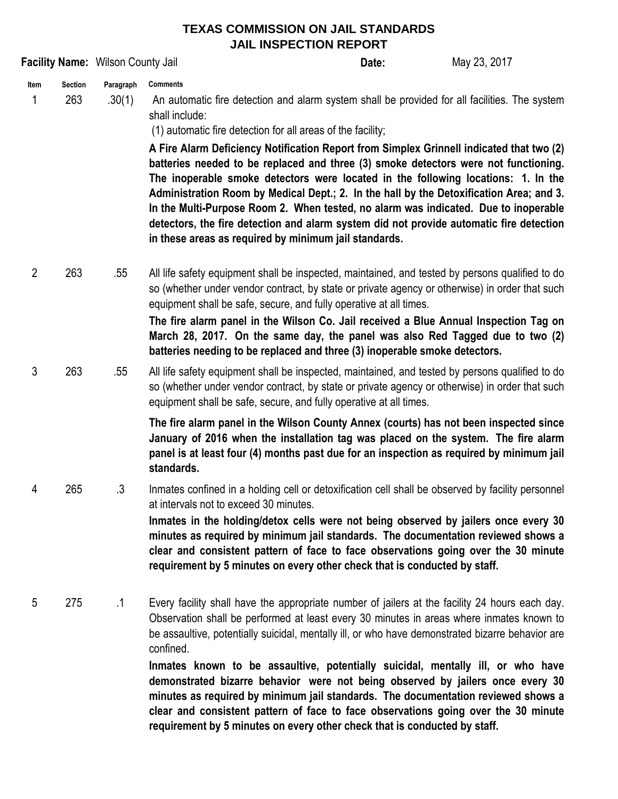## **TEXAS COMMISSION ON JAIL STANDARDS JAIL INSPECTION REPORT**

|                |                       | Facility Name: Wilson County Jail |                                                                                                                                                                                                                                                                                                                                                                                                                                                                                                                                                                                                                                                                                                                                                                                                                 | Date: | May 23, 2017 |
|----------------|-----------------------|-----------------------------------|-----------------------------------------------------------------------------------------------------------------------------------------------------------------------------------------------------------------------------------------------------------------------------------------------------------------------------------------------------------------------------------------------------------------------------------------------------------------------------------------------------------------------------------------------------------------------------------------------------------------------------------------------------------------------------------------------------------------------------------------------------------------------------------------------------------------|-------|--------------|
| Item<br>1      | <b>Section</b><br>263 | Paragraph<br>.30(1)               | <b>Comments</b><br>An automatic fire detection and alarm system shall be provided for all facilities. The system<br>shall include:<br>(1) automatic fire detection for all areas of the facility;<br>A Fire Alarm Deficiency Notification Report from Simplex Grinnell indicated that two (2)<br>batteries needed to be replaced and three (3) smoke detectors were not functioning.<br>The inoperable smoke detectors were located in the following locations: 1. In the<br>Administration Room by Medical Dept.; 2. In the hall by the Detoxification Area; and 3.<br>In the Multi-Purpose Room 2. When tested, no alarm was indicated. Due to inoperable<br>detectors, the fire detection and alarm system did not provide automatic fire detection<br>in these areas as required by minimum jail standards. |       |              |
| $\overline{2}$ | 263                   | .55                               | All life safety equipment shall be inspected, maintained, and tested by persons qualified to do<br>so (whether under vendor contract, by state or private agency or otherwise) in order that such<br>equipment shall be safe, secure, and fully operative at all times.<br>The fire alarm panel in the Wilson Co. Jail received a Blue Annual Inspection Tag on<br>March 28, 2017. On the same day, the panel was also Red Tagged due to two (2)<br>batteries needing to be replaced and three (3) inoperable smoke detectors.                                                                                                                                                                                                                                                                                  |       |              |
| 3              | 263                   | .55                               | All life safety equipment shall be inspected, maintained, and tested by persons qualified to do<br>so (whether under vendor contract, by state or private agency or otherwise) in order that such<br>equipment shall be safe, secure, and fully operative at all times.<br>The fire alarm panel in the Wilson County Annex (courts) has not been inspected since<br>January of 2016 when the installation tag was placed on the system. The fire alarm<br>panel is at least four (4) months past due for an inspection as required by minimum jail<br>standards.                                                                                                                                                                                                                                                |       |              |
| 4              | 265                   | $\cdot$ 3                         | Inmates confined in a holding cell or detoxification cell shall be observed by facility personnel<br>at intervals not to exceed 30 minutes.<br>Inmates in the holding/detox cells were not being observed by jailers once every 30<br>minutes as required by minimum jail standards. The documentation reviewed shows a<br>clear and consistent pattern of face to face observations going over the 30 minute<br>requirement by 5 minutes on every other check that is conducted by staff.                                                                                                                                                                                                                                                                                                                      |       |              |
| 5              | 275                   | $\cdot$ 1                         | Every facility shall have the appropriate number of jailers at the facility 24 hours each day.<br>Observation shall be performed at least every 30 minutes in areas where inmates known to<br>be assaultive, potentially suicidal, mentally ill, or who have demonstrated bizarre behavior are<br>confined.<br>Inmates known to be assaultive, potentially suicidal, mentally ill, or who have<br>demonstrated bizarre behavior were not being observed by jailers once every 30<br>minutes as required by minimum jail standards. The documentation reviewed shows a<br>clear and consistent pattern of face to face observations going over the 30 minute<br>requirement by 5 minutes on every other check that is conducted by staff.                                                                        |       |              |